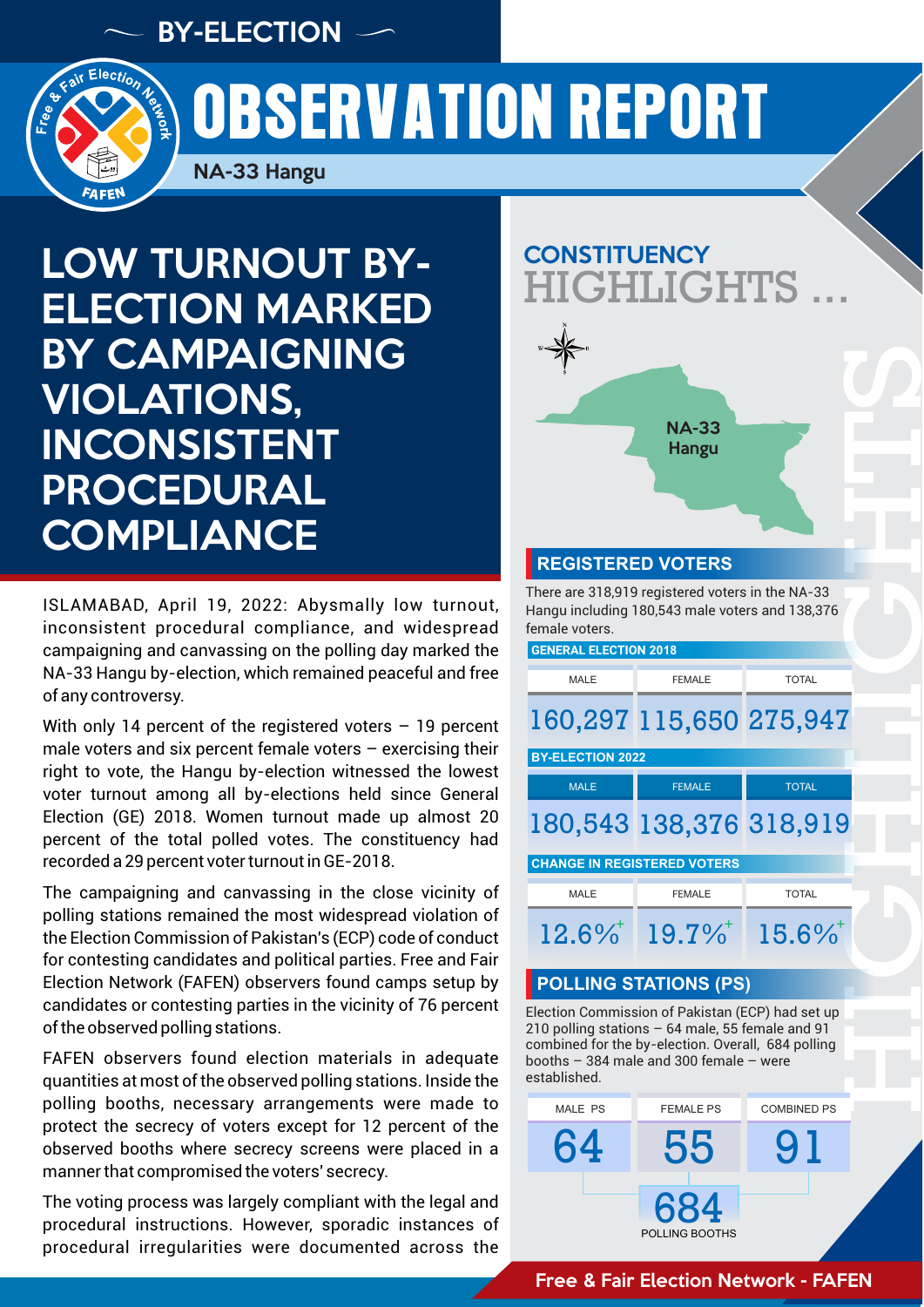BY-ELECTION



# OBSERVATION REPORT

NA-33 Hangu

LOW TURNOUT BY-ELECTION MARKED BY CAMPAIGNING VIOLATIONS, INCONSISTENT PROCEDURAL **COMPLIANCE** 

ISLAMABAD, April 19, 2022: Abysmally low turnout, inconsistent procedural compliance, and widespread campaigning and canvassing on the polling day marked the NA-33 Hangu by-election, which remained peaceful and free of any controversy.

With only 14 percent of the registered voters  $-$  19 percent male voters and six percent female voters  $-$  exercising their right to vote, the Hangu by-election witnessed the lowest voter turnout among all by-elections held since General Election (GE) 2018. Women turnout made up almost 20 percent of the total polled votes. The constituency had recorded a 29 percent voter turnout in GE-2018.

The campaigning and canvassing in the close vicinity of polling stations remained the most widespread violation of the Election Commission of Pakistan's (ECP) code of conduct for contesting candidates and political parties. Free and Fair Election Network (FAFEN) observers found camps setup by candidates or contesting parties in the vicinity of 76 percent of the observed polling stations.

FAFEN observers found election materials in adequate quantities at most of the observed polling stations. Inside the polling booths, necessary arrangements were made to protect the secrecy of voters except for 12 percent of the observed booths where secrecy screens were placed in a manner that compromised the voters' secrecy.

The voting process was largely compliant with the legal and procedural instructions. However, sporadic instances of procedural irregularities were documented across the

# **CONSTITUENCY** GHLIGHTS



#### **REGISTERED VOTERS**

There are 318,919 registered voters in the NA-33 Hangu including 180,543 male voters and 138,376 female voters.

**GENERAL ELECTION 2018**

# HIGHTS<br>HIGHLIGHTS MALE **FEMALE TOTAL** 160,297 115,650 275,947 MALE **FEMALE TOTAL BY-ELECTION 2022**

## 180,543 138,376 318,919

| <b>CHANGE IN REGISTERED VOTERS</b> |               |              |
|------------------------------------|---------------|--------------|
| MALE                               | <b>FEMALE</b> | <b>TOTAL</b> |
| $19.6\%$                           |               |              |

#### **POLLING STATIONS (PS)**

Election Commission of Pakistan (ECP) had set up 210 polling stations – 64 male, 55 female and 91 combined for the by-election. Overall, 684 polling booths – 384 male and 300 female – were established.

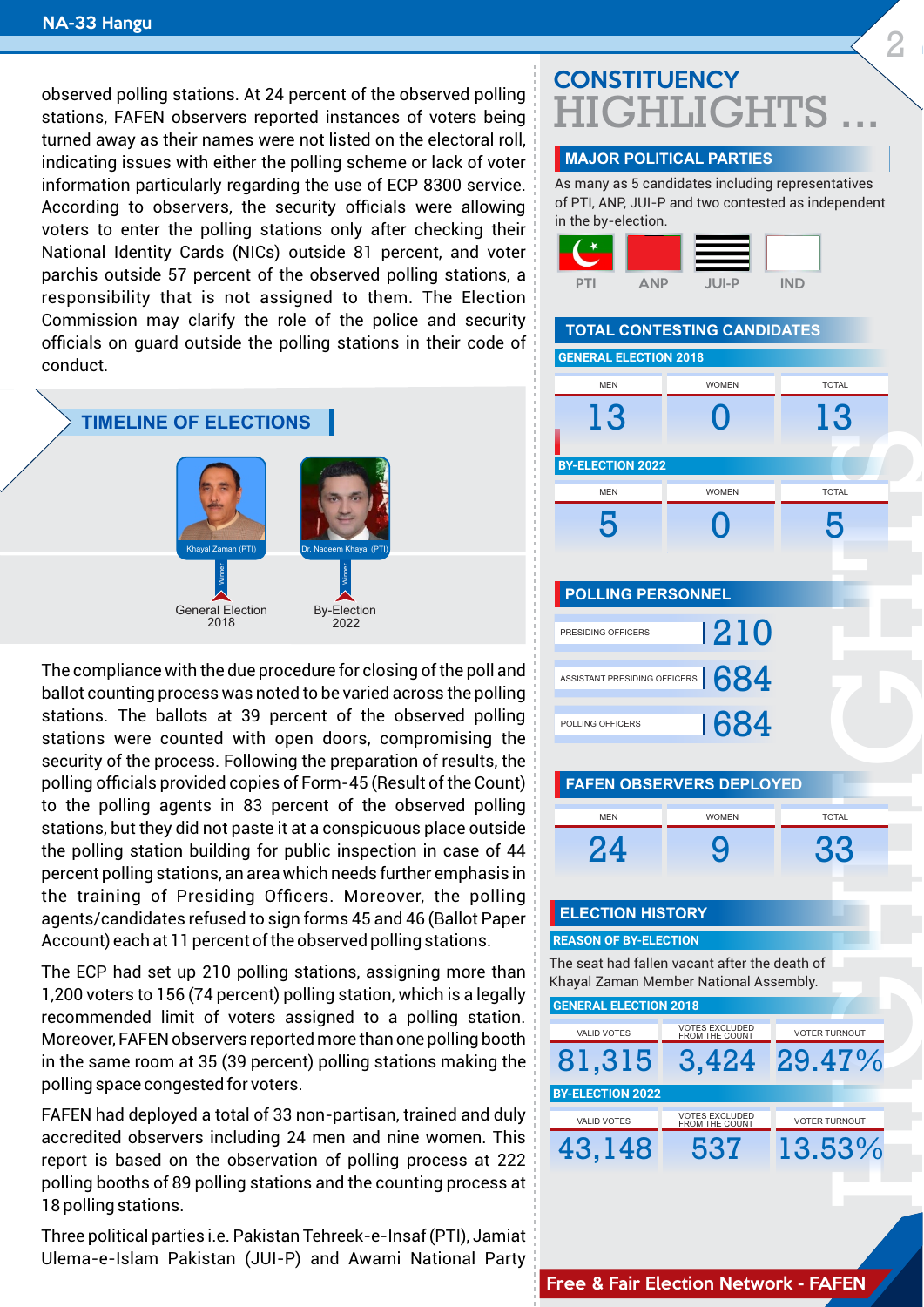observed polling stations. At 24 percent of the observed polling stations, FAFEN observers reported instances of voters being turned away as their names were not listed on the electoral roll, indicating issues with either the polling scheme or lack of voter information particularly regarding the use of ECP 8300 service. According to observers, the security officials were allowing voters to enter the polling stations only after checking their National Identity Cards (NICs) outside 81 percent, and voter parchis outside 57 percent of the observed polling stations, a responsibility that is not assigned to them. The Election Commission may clarify the role of the police and security officials on guard outside the polling stations in their code of conduct.

#### **TIMELINE OF ELECTIONS**



The compliance with the due procedure for closing of the poll and ballot counting process was noted to be varied across the polling stations. The ballots at 39 percent of the observed polling stations were counted with open doors, compromising the security of the process. Following the preparation of results, the polling officials provided copies of Form-45 (Result of the Count) to the polling agents in 83 percent of the observed polling stations, but they did not paste it at a conspicuous place outside the polling station building for public inspection in case of 44 percent polling stations, an area which needs further emphasis in the training of Presiding Officers. Moreover, the polling agents/candidates refused to sign forms 45 and 46 (Ballot Paper Account) each at 11 percent of the observed polling stations.

The ECP had set up 210 polling stations, assigning more than 1,200 voters to 156 (74 percent) polling station, which is a legally recommended limit of voters assigned to a polling station. Moreover, FAFEN observers reported more than one polling booth in the same room at 35 (39 percent) polling stations making the polling space congested for voters.

FAFEN had deployed a total of 33 non-partisan, trained and duly accredited observers including 24 men and nine women. This report is based on the observation of polling process at 222 polling booths of 89 polling stations and the counting process at 18 polling stations.

Three political parties i.e. Pakistan Tehreek-e-Insaf (PTI), Jamiat Ulema-e-Islam Pakistan (JUI-P) and Awami National Party

### **CONSTITUENCY GHT.IGHTS**

2

#### **MAJOR POLITICAL PARTIES**

As many as 5 candidates including representatives of PTI, ANP, JUI-P and two contested as independent in the by-election.



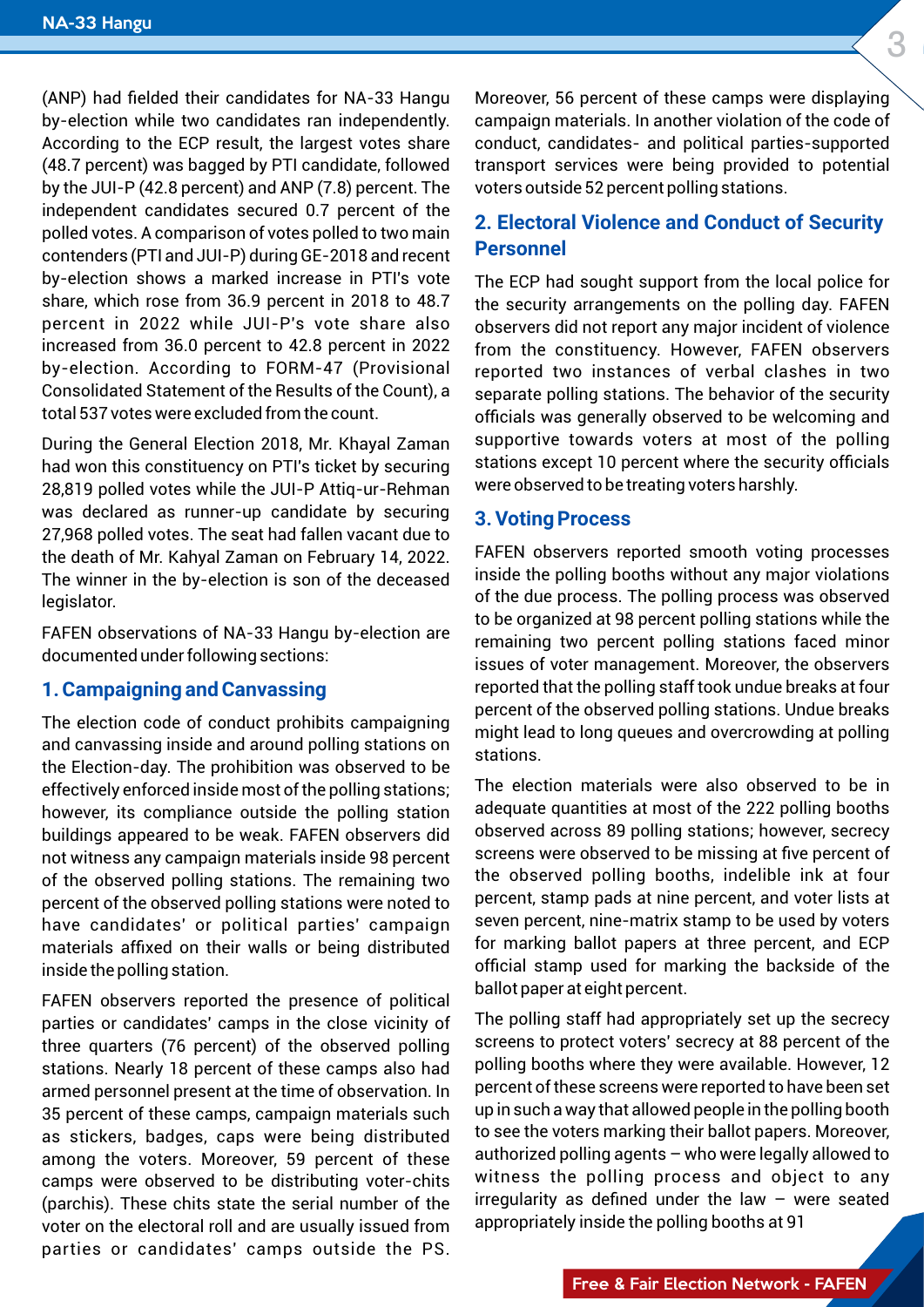(ANP) had fielded their candidates for NA-33 Hangu by-election while two candidates ran independently. According to the ECP result, the largest votes share (48.7 percent) was bagged by PTI candidate, followed by the JUI-P (42.8 percent) and ANP (7.8) percent. The independent candidates secured 0.7 percent of the polled votes. A comparison of votes polled to two main contenders (PTI and JUI-P) during GE-2018 and recent by-election shows a marked increase in PTI's vote share, which rose from 36.9 percent in 2018 to 48.7 percent in 2022 while JUI-P's vote share also increased from 36.0 percent to 42.8 percent in 2022 by-election. According to FORM-47 (Provisional Consolidated Statement of the Results of the Count), a total 537 votes were excluded from the count.

During the General Election 2018, Mr. Khayal Zaman had won this constituency on PTI's ticket by securing 28,819 polled votes while the JUI-P Attiq-ur-Rehman was declared as runner-up candidate by securing 27,968 polled votes. The seat had fallen vacant due to the death of Mr. Kahyal Zaman on February 14, 2022. The winner in the by-election is son of the deceased legislator.

FAFEN observations of NA-33 Hangu by-election are documented under following sections:

#### **1. Campaigning and Canvassing**

The election code of conduct prohibits campaigning and canvassing inside and around polling stations on the Election-day. The prohibition was observed to be effectively enforced inside most of the polling stations; however, its compliance outside the polling station buildings appeared to be weak. FAFEN observers did not witness any campaign materials inside 98 percent of the observed polling stations. The remaining two percent of the observed polling stations were noted to have candidates' or political parties' campaign materials affixed on their walls or being distributed inside the polling station.

FAFEN observers reported the presence of political parties or candidates' camps in the close vicinity of three quarters (76 percent) of the observed polling stations. Nearly 18 percent of these camps also had armed personnel present at the time of observation. In 35 percent of these camps, campaign materials such as stickers, badges, caps were being distributed among the voters. Moreover, 59 percent of these camps were observed to be distributing voter-chits (parchis). These chits state the serial number of the voter on the electoral roll and are usually issued from parties or candidates' camps outside the PS.

 $\frac{1}{\text{splaying}}$ Moreover, 56 percent of these camps were displaying campaign materials. In another violation of the code of conduct, candidates- and political parties-supported transport services were being provided to potential voters outside 52 percent polling stations.

#### **curity 2. Electoral Violence and Conduct of Security Personnel**

GFAFEN<br>violence<br>servers<br>in two The ECP had sought support from the local police for the security arrangements on the polling day. FAFEN observers did not report any major incident of violence from the constituency. However, FAFEN observers reported two instances of verbal clashes in two separate polling stations. The behavior of the security officials was generally observed to be welcoming and supportive towards voters at most of the polling stations except 10 percent where the security officials were observed to be treating voters harshly.

#### **3. Voting Process**

issues of voter management. Moreover, the observers<br>reported that the polling staff took undue breaks at four<br>percent of the observed polling stations. Undue breaks Inside the polling booths without any major violations<br>of the due process. The polling process was observed FAFEN observers reported smooth voting processes inside the polling booths without any major violations to be organized at 98 percent polling stations while the remaining two percent polling stations faced minor reported that the polling staff took undue breaks at four percent of the observed polling stations. Undue breaks might lead to long queues and overcrowding at polling stations.

nsts at<br>y voters<br>and ECP<br>e of the o be in<br>booths<br>secrecy The election materials were also observed to be in adequate quantities at most of the 222 polling booths observed across 89 polling stations; however, secrecy screens were observed to be missing at five percent of the observed polling booths, indelible ink at four percent, stamp pads at nine percent, and voter lists at seven percent, nine-matrix stamp to be used by voters for marking ballot papers at three percent, and ECP official stamp used for marking the backside of the ballot paper at eight percent.

oreover,<br>owed to<br>to any<br>seated screens to protect voters secrecy at 88 percent or the<br>polling booths where they were available. However, 12 The polling staff had appropriately set up the secrecy screens to protect voters' secrecy at 88 percent of the percent of these screens were reported to have been set up in such a way that allowed people in the polling booth to see the voters marking their ballot papers. Moreover, authorized polling agents – who were legally allowed to witness the polling process and object to any irregularity as defined under the law – were seated appropriately inside the polling booths at 91

3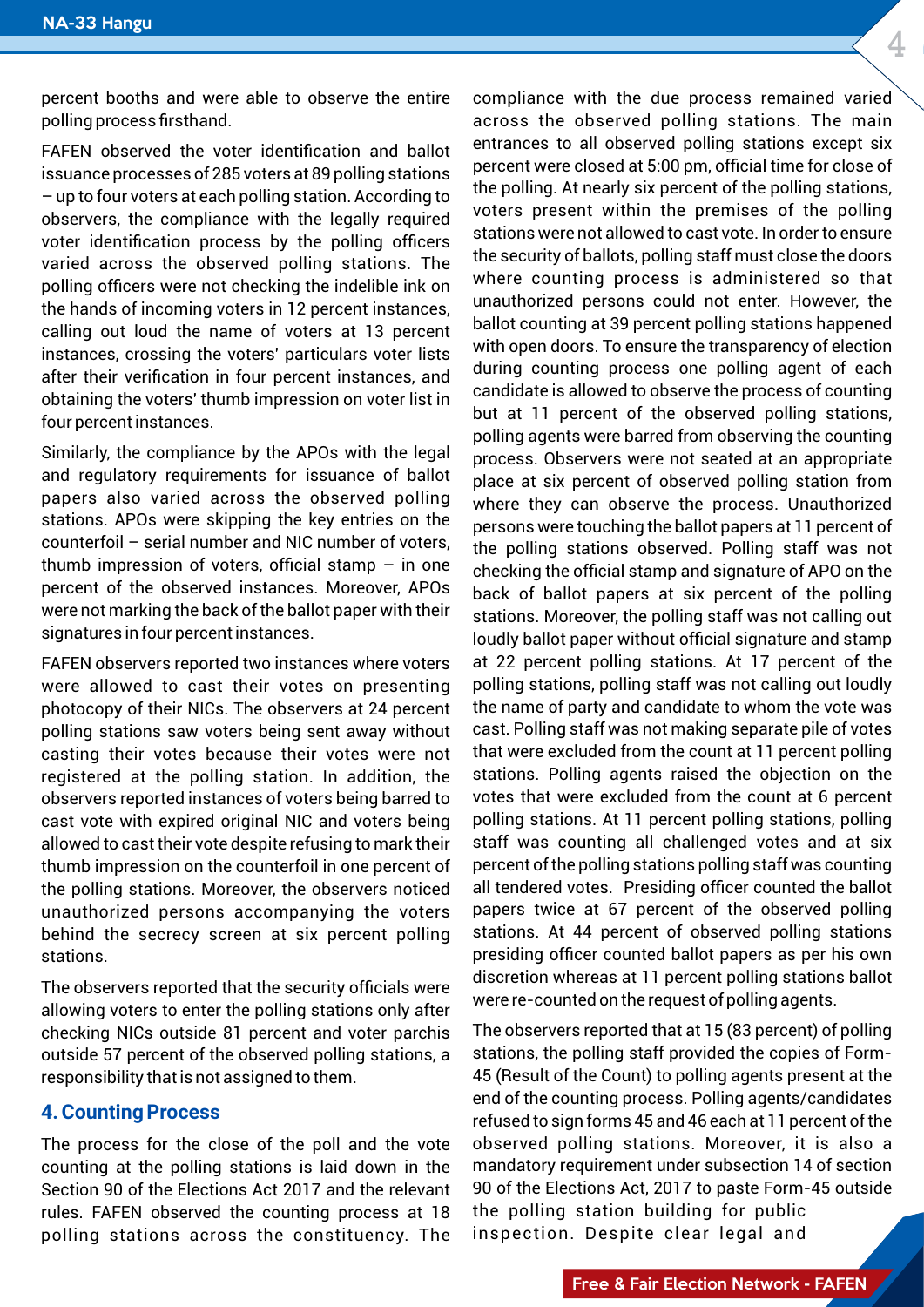percent booths and were able to observe the entire polling process firsthand.

FAFEN observed the voter identification and ballot issuance processes of 285 voters at 89 polling stations – up to four voters at each polling station. According to observers, the compliance with the legally required voter identification process by the polling officers varied across the observed polling stations. The polling officers were not checking the indelible ink on the hands of incoming voters in 12 percent instances, calling out loud the name of voters at 13 percent instances, crossing the voters' particulars voter lists after their verification in four percent instances, and obtaining the voters' thumb impression on voter list in four percent instances.

Similarly, the compliance by the APOs with the legal and regulatory requirements for issuance of ballot papers also varied across the observed polling stations. APOs were skipping the key entries on the counterfoil – serial number and NIC number of voters, thumb impression of voters, official stamp  $-$  in one percent of the observed instances. Moreover, APOs were not marking the back of the ballot paper with their signatures in four percent instances.

FAFEN observers reported two instances where voters were allowed to cast their votes on presenting photocopy of their NICs. The observers at 24 percent polling stations saw voters being sent away without casting their votes because their votes were not registered at the polling station. In addition, the observers reported instances of voters being barred to cast vote with expired original NIC and voters being allowed to cast their vote despite refusing to mark their thumb impression on the counterfoil in one percent of the polling stations. Moreover, the observers noticed unauthorized persons accompanying the voters behind the secrecy screen at six percent polling stations.

The observers reported that the security officials were allowing voters to enter the polling stations only after checking NICs outside 81 percent and voter parchis outside 57 percent of the observed polling stations, a responsibility that is not assigned to them.

#### **4. Counting Process**

The process for the close of the poll and the vote counting at the polling stations is laid down in the Section 90 of the Elections Act 2017 and the relevant rules. FAFEN observed the counting process at 18 polling stations across the constituency. The

polling<br>stations<br>his own<br>ns ballot on the<br>percent<br>, polling<br>d at six at 22 percent polling stations. At 17 percent of the<br>polling stations, polling staff was not calling out loudly<br>the name of party and candidate to whom the vote was Iback of ballot papers at six percent of the polling polling agents were barred from observing the counting<br>process. Observers were not seated at an appropriate<br>place at six percent of observed polling station from<br>where they can observe the process. Unauthorized ver, tne<br>appened<br>election<br>of each the polling. At nearly six percent of the polling stations,<br>voters present within the premises of the polling<br>stations were not allowed to cast vote. In order to ensure d varied<br>e main compliance with the due process remained varied across the observed polling stations. The main entrances to all observed polling stations except six percent were closed at 5:00 pm, official time for close of the polling. At nearly six percent of the polling stations, voters present within the premises of the polling the security of ballots, polling staff must close the doors where counting process is administered so that unauthorized persons could not enter. However, the ballot counting at 39 percent polling stations happened with open doors. To ensure the transparency of election during counting process one polling agent of each candidate is allowed to observe the process of counting but at 11 percent of the observed polling stations, polling agents were barred from observing the counting process. Observers were not seated at an appropriate place at six percent of observed polling station from persons were touching the ballot papers at 11 percent of the polling stations observed. Polling staff was not checking the official stamp and signature of APO on the stations. Moreover, the polling staff was not calling out loudly ballot paper without official signature and stamp polling stations, polling staff was not calling out loudly the name of party and candidate to whom the vote was cast. Polling staff was not making separate pile of votes that were excluded from the count at 11 percent polling stations. Polling agents raised the objection on the votes that were excluded from the count at 6 percent polling stations. At 11 percent polling stations, polling staff was counting all challenged votes and at six percent of the polling stations polling staff was counting all tendered votes. Presiding officer counted the ballot papers twice at 67 percent of the observed polling stations. At 44 percent of observed polling stations presiding officer counted ballot papers as per his own discretion whereas at 11 percent polling stations ballot were re-counted on the request of polling agents.

ntorme<br>also a<br>section<br>outside stations, the polling staff provided the copies of Form-The observers reported that at 15 (83 percent) of polling 45 (Result of the Count) to polling agents present at the end of the counting process. Polling agents/candidates refused to sign forms 45 and 46 each at 11 percent of the observed polling stations. Moreover, it is also a mandatory requirement under subsection 14 of section 90 of the Elections Act, 2017 to paste Form-45 outside the polling station building for public inspection. Despite clear legal and

4